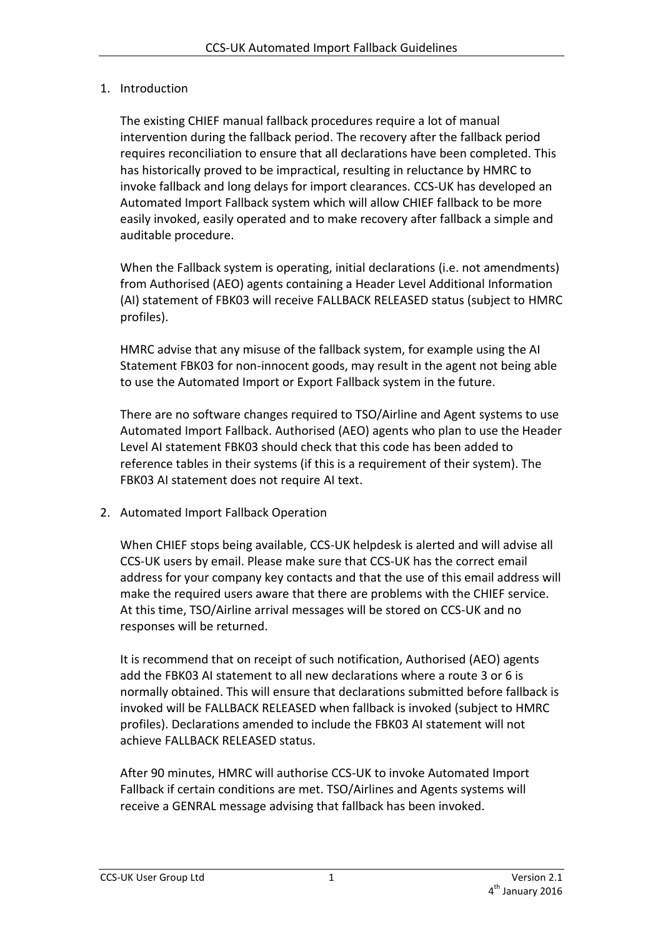## 1. Introduction

The existing CHIEF manual fallback procedures require a lot of manual intervention during the fallback period. The recovery after the fallback period requires reconciliation to ensure that all declarations have been completed. This has historically proved to be impractical, resulting in reluctance by HMRC to invoke fallback and long delays for import clearances. CCS-UK has developed an Automated Import Fallback system which will allow CHIEF fallback to be more easily invoked, easily operated and to make recovery after fallback a simple and auditable procedure.

When the Fallback system is operating, initial declarations (i.e. not amendments) from Authorised (AEO) agents containing a Header Level Additional Information (AI) statement of FBK03 will receive FALLBACK RELEASED status (subject to HMRC profiles).

HMRC advise that any misuse of the fallback system, for example using the AI Statement FBK03 for non-innocent goods, may result in the agent not being able to use the Automated Import or Export Fallback system in the future.

There are no software changes required to TSO/Airline and Agent systems to use Automated Import Fallback. Authorised (AEO) agents who plan to use the Header Level AI statement FBK03 should check that this code has been added to reference tables in their systems (if this is a requirement of their system). The FBK03 AI statement does not require AI text.

2. Automated Import Fallback Operation

When CHIEF stops being available, CCS-UK helpdesk is alerted and will advise all CCS-UK users by email. Please make sure that CCS-UK has the correct email address for your company key contacts and that the use of this email address will make the required users aware that there are problems with the CHIEF service. At this time, TSO/Airline arrival messages will be stored on CCS-UK and no responses will be returned.

It is recommend that on receipt of such notification, Authorised (AEO) agents add the FBK03 AI statement to all new declarations where a route 3 or 6 is normally obtained. This will ensure that declarations submitted before fallback is invoked will be FALLBACK RELEASED when fallback is invoked (subject to HMRC profiles). Declarations amended to include the FBK03 AI statement will not achieve FALLBACK RELEASED status.

After 90 minutes, HMRC will authorise CCS-UK to invoke Automated Import Fallback if certain conditions are met. TSO/Airlines and Agents systems will receive a GENRAL message advising that fallback has been invoked.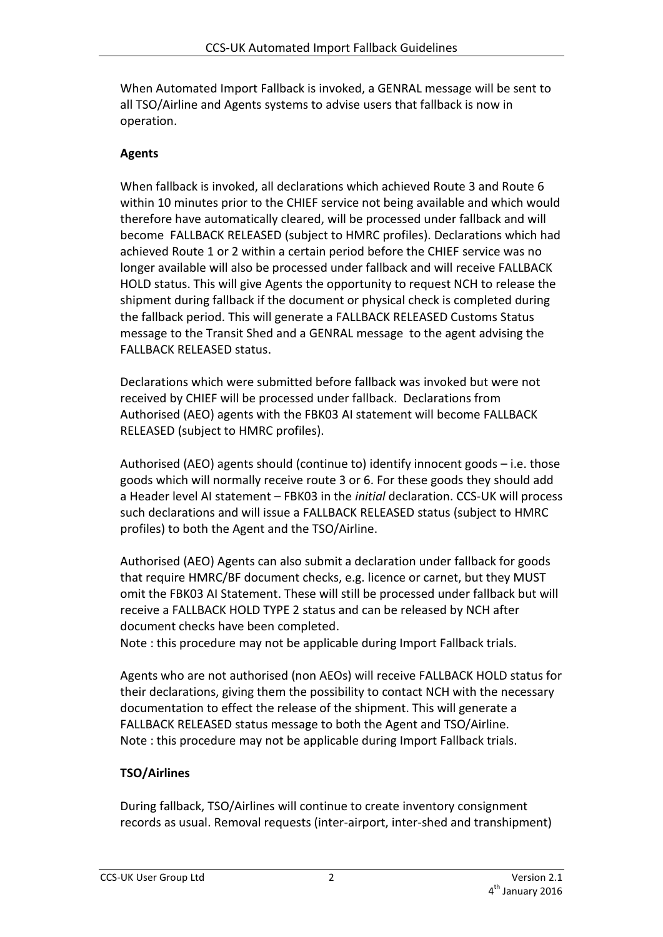When Automated Import Fallback is invoked, a GENRAL message will be sent to all TSO/Airline and Agents systems to advise users that fallback is now in operation.

## **Agents**

When fallback is invoked, all declarations which achieved Route 3 and Route 6 within 10 minutes prior to the CHIEF service not being available and which would therefore have automatically cleared, will be processed under fallback and will become FALLBACK RELEASED (subject to HMRC profiles). Declarations which had achieved Route 1 or 2 within a certain period before the CHIEF service was no longer available will also be processed under fallback and will receive FALLBACK HOLD status. This will give Agents the opportunity to request NCH to release the shipment during fallback if the document or physical check is completed during the fallback period. This will generate a FALLBACK RELEASED Customs Status message to the Transit Shed and a GENRAL message to the agent advising the FALLBACK RELEASED status.

Declarations which were submitted before fallback was invoked but were not received by CHIEF will be processed under fallback. Declarations from Authorised (AEO) agents with the FBK03 AI statement will become FALLBACK RELEASED (subject to HMRC profiles).

Authorised (AEO) agents should (continue to) identify innocent goods – i.e. those goods which will normally receive route 3 or 6. For these goods they should add a Header level AI statement – FBK03 in the *initial* declaration. CCS-UK will process such declarations and will issue a FALLBACK RELEASED status (subject to HMRC profiles) to both the Agent and the TSO/Airline.

Authorised (AEO) Agents can also submit a declaration under fallback for goods that require HMRC/BF document checks, e.g. licence or carnet, but they MUST omit the FBK03 AI Statement. These will still be processed under fallback but will receive a FALLBACK HOLD TYPE 2 status and can be released by NCH after document checks have been completed.

Note : this procedure may not be applicable during Import Fallback trials.

Agents who are not authorised (non AEOs) will receive FALLBACK HOLD status for their declarations, giving them the possibility to contact NCH with the necessary documentation to effect the release of the shipment. This will generate a FALLBACK RELEASED status message to both the Agent and TSO/Airline. Note : this procedure may not be applicable during Import Fallback trials.

## **TSO/Airlines**

During fallback, TSO/Airlines will continue to create inventory consignment records as usual. Removal requests (inter-airport, inter-shed and transhipment)